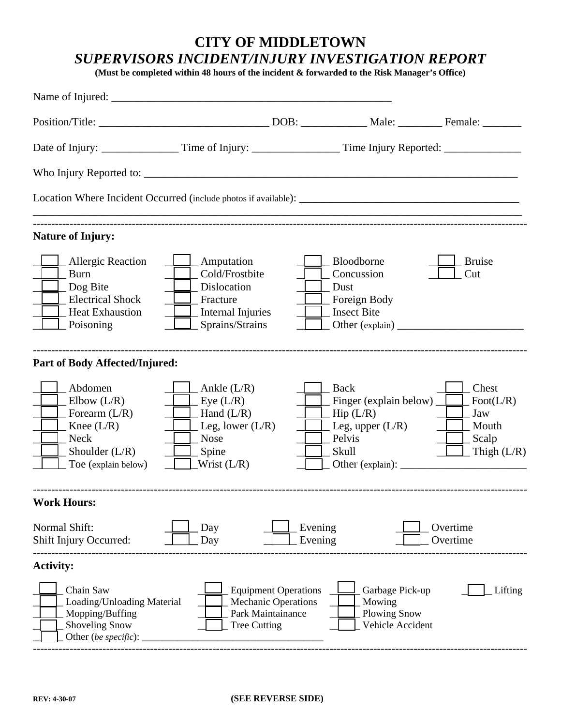## **CITY OF MIDDLETOWN**  *SUPERVISORS INCIDENT/INJURY INVESTIGATION REPORT*

**(Must be completed within 48 hours of the incident & forwarded to the Risk Manager's Office)** 

| <b>Nature of Injury:</b>                                                                                              |                                                                                                                  |                                                                                |                                                                                                                    |                                                                                 |
|-----------------------------------------------------------------------------------------------------------------------|------------------------------------------------------------------------------------------------------------------|--------------------------------------------------------------------------------|--------------------------------------------------------------------------------------------------------------------|---------------------------------------------------------------------------------|
| <b>Allergic Reaction</b><br><b>Burn</b><br>Dog Bite<br><b>Electrical Shock</b><br><b>Heat Exhaustion</b><br>Poisoning | <u>L</u> Amputation<br>Cold/Frostbite<br>Dislocation<br>Fracture<br>$\perp$ Internal Injuries<br>Sprains/Strains |                                                                                | Bloodborne<br>Concussion<br>Dust<br>_ Foreign Body<br><b>Insect Bite</b>                                           | <b>Bruise</b><br>Cut                                                            |
| Part of Body Affected/Injured:                                                                                        |                                                                                                                  |                                                                                |                                                                                                                    |                                                                                 |
| Abdomen<br>Elbow $(L/R)$<br>Forearm $(L/R)$<br>Knee $(L/R)$<br><b>Neck</b><br>Shoulder $(L/R)$<br>Toe (explain below) | $_$ Ankle (L/R)<br>Eye (L/R)<br>$\_$ Hand (L/R)<br>$\perp$ Leg, lower (L/R)<br>Nose<br>Spine<br>Wrist $(L/R)$    |                                                                                | Back<br>Finger (explain below) $\boxed{\phantom{a}}$<br>_Hip (L/R)<br>$\angle$ Leg, upper (L/R)<br>Pelvis<br>Skull | Chest<br>Foot( $L/R$ )<br>Jaw<br>Mouth<br>$\perp$ Scalp<br>$\Box$ Thigh $(L/R)$ |
| <b>Work Hours:</b>                                                                                                    |                                                                                                                  |                                                                                |                                                                                                                    |                                                                                 |
| Normal Shift:<br>Shift Injury Occurred:                                                                               | Day<br>Day                                                                                                       | Evening<br>Evening                                                             |                                                                                                                    | Overtime<br>Overtime                                                            |
| <b>Activity:</b>                                                                                                      |                                                                                                                  |                                                                                |                                                                                                                    |                                                                                 |
| Chain Saw<br>Loading/Unloading Material<br>Mopping/Buffing<br>Shoveling Snow<br>Other (be specific):                  | <b>Tree Cutting</b>                                                                                              | <b>Equipment Operations</b><br><b>Mechanic Operations</b><br>Park Maintainance | Garbage Pick-up<br>Mowing<br><b>Plowing Snow</b><br>Vehicle Accident                                               | Lifting                                                                         |

---------------------------------------------------------------------------------------------------------------------------------------